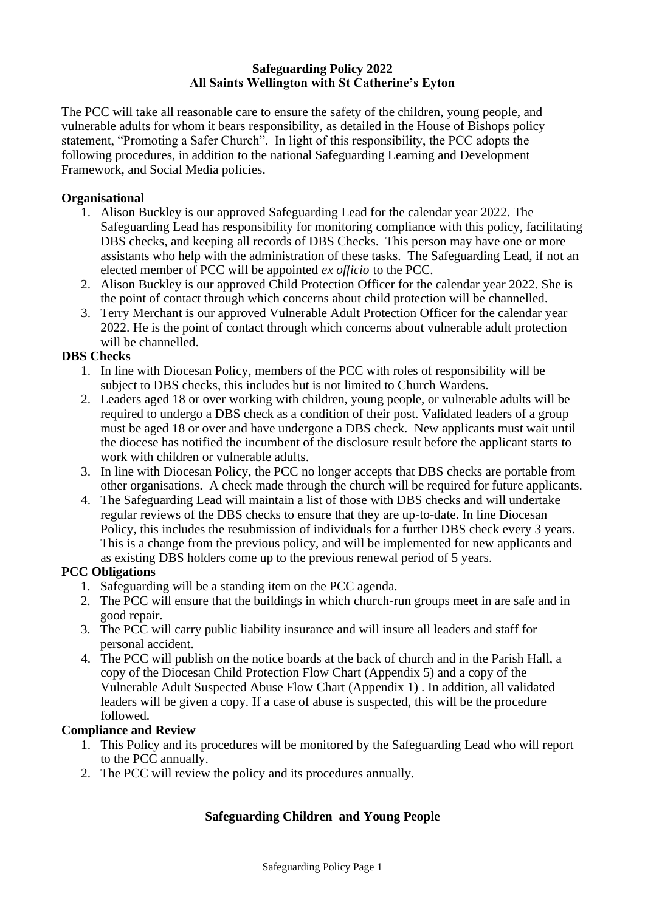### **Safeguarding Policy 2022 All Saints Wellington with St Catherine's Eyton**

The PCC will take all reasonable care to ensure the safety of the children, young people, and vulnerable adults for whom it bears responsibility, as detailed in the House of Bishops policy statement, "Promoting a Safer Church". In light of this responsibility, the PCC adopts the following procedures, in addition to the national Safeguarding Learning and Development Framework, and Social Media policies.

### **Organisational**

- 1. Alison Buckley is our approved Safeguarding Lead for the calendar year 2022. The Safeguarding Lead has responsibility for monitoring compliance with this policy, facilitating DBS checks, and keeping all records of DBS Checks. This person may have one or more assistants who help with the administration of these tasks. The Safeguarding Lead, if not an elected member of PCC will be appointed *ex officio* to the PCC.
- 2. Alison Buckley is our approved Child Protection Officer for the calendar year 2022. She is the point of contact through which concerns about child protection will be channelled.
- 3. Terry Merchant is our approved Vulnerable Adult Protection Officer for the calendar year 2022. He is the point of contact through which concerns about vulnerable adult protection will be channelled.

### **DBS Checks**

- 1. In line with Diocesan Policy, members of the PCC with roles of responsibility will be subject to DBS checks, this includes but is not limited to Church Wardens.
- 2. Leaders aged 18 or over working with children, young people, or vulnerable adults will be required to undergo a DBS check as a condition of their post. Validated leaders of a group must be aged 18 or over and have undergone a DBS check. New applicants must wait until the diocese has notified the incumbent of the disclosure result before the applicant starts to work with children or vulnerable adults.
- 3. In line with Diocesan Policy, the PCC no longer accepts that DBS checks are portable from other organisations. A check made through the church will be required for future applicants.
- 4. The Safeguarding Lead will maintain a list of those with DBS checks and will undertake regular reviews of the DBS checks to ensure that they are up-to-date. In line Diocesan Policy, this includes the resubmission of individuals for a further DBS check every 3 years. This is a change from the previous policy, and will be implemented for new applicants and as existing DBS holders come up to the previous renewal period of 5 years.

# **PCC Obligations**

- 1. Safeguarding will be a standing item on the PCC agenda.
- 2. The PCC will ensure that the buildings in which church-run groups meet in are safe and in good repair.
- 3. The PCC will carry public liability insurance and will insure all leaders and staff for personal accident.
- 4. The PCC will publish on the notice boards at the back of church and in the Parish Hall, a copy of the Diocesan Child Protection Flow Chart (Appendix 5) and a copy of the Vulnerable Adult Suspected Abuse Flow Chart (Appendix 1) . In addition, all validated leaders will be given a copy. If a case of abuse is suspected, this will be the procedure followed.

# **Compliance and Review**

- 1. This Policy and its procedures will be monitored by the Safeguarding Lead who will report to the PCC annually.
- 2. The PCC will review the policy and its procedures annually.

# **Safeguarding Children and Young People**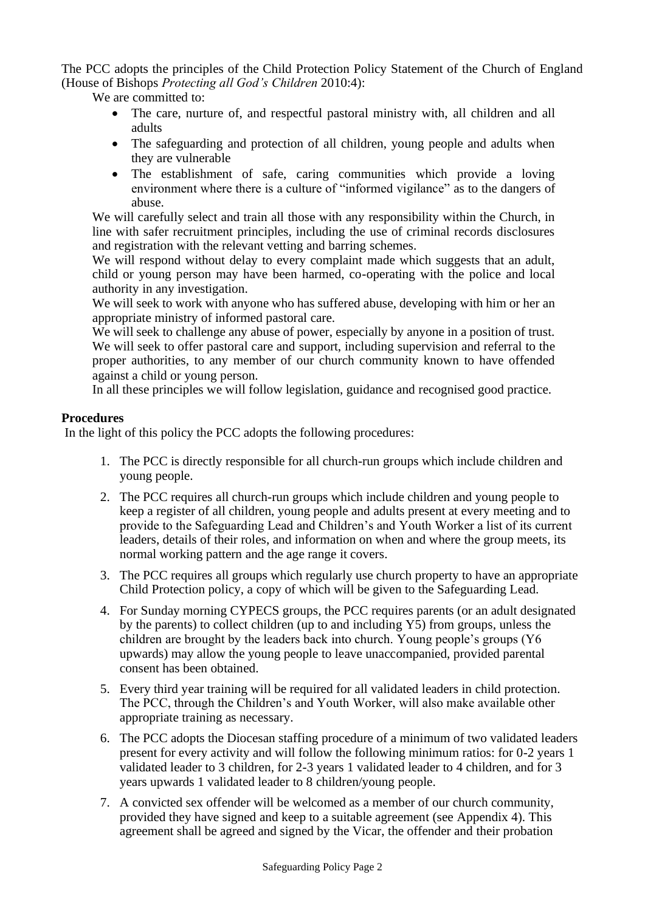The PCC adopts the principles of the Child Protection Policy Statement of the Church of England (House of Bishops *Protecting all God's Children* 2010:4):

We are committed to:

- The care, nurture of, and respectful pastoral ministry with, all children and all adults
- The safeguarding and protection of all children, young people and adults when they are vulnerable
- The establishment of safe, caring communities which provide a loving environment where there is a culture of "informed vigilance" as to the dangers of abuse.

We will carefully select and train all those with any responsibility within the Church, in line with safer recruitment principles, including the use of criminal records disclosures and registration with the relevant vetting and barring schemes.

We will respond without delay to every complaint made which suggests that an adult, child or young person may have been harmed, co-operating with the police and local authority in any investigation.

We will seek to work with anyone who has suffered abuse, developing with him or her an appropriate ministry of informed pastoral care.

We will seek to challenge any abuse of power, especially by anyone in a position of trust. We will seek to offer pastoral care and support, including supervision and referral to the proper authorities, to any member of our church community known to have offended against a child or young person.

In all these principles we will follow legislation, guidance and recognised good practice.

### **Procedures**

In the light of this policy the PCC adopts the following procedures:

- 1. The PCC is directly responsible for all church-run groups which include children and young people.
- 2. The PCC requires all church-run groups which include children and young people to keep a register of all children, young people and adults present at every meeting and to provide to the Safeguarding Lead and Children's and Youth Worker a list of its current leaders, details of their roles, and information on when and where the group meets, its normal working pattern and the age range it covers.
- 3. The PCC requires all groups which regularly use church property to have an appropriate Child Protection policy, a copy of which will be given to the Safeguarding Lead.
- 4. For Sunday morning CYPECS groups, the PCC requires parents (or an adult designated by the parents) to collect children (up to and including Y5) from groups, unless the children are brought by the leaders back into church. Young people's groups (Y6 upwards) may allow the young people to leave unaccompanied, provided parental consent has been obtained.
- 5. Every third year training will be required for all validated leaders in child protection. The PCC, through the Children's and Youth Worker, will also make available other appropriate training as necessary.
- 6. The PCC adopts the Diocesan staffing procedure of a minimum of two validated leaders present for every activity and will follow the following minimum ratios: for 0-2 years 1 validated leader to 3 children, for 2-3 years 1 validated leader to 4 children, and for 3 years upwards 1 validated leader to 8 children/young people.
- 7. A convicted sex offender will be welcomed as a member of our church community, provided they have signed and keep to a suitable agreement (see Appendix 4). This agreement shall be agreed and signed by the Vicar, the offender and their probation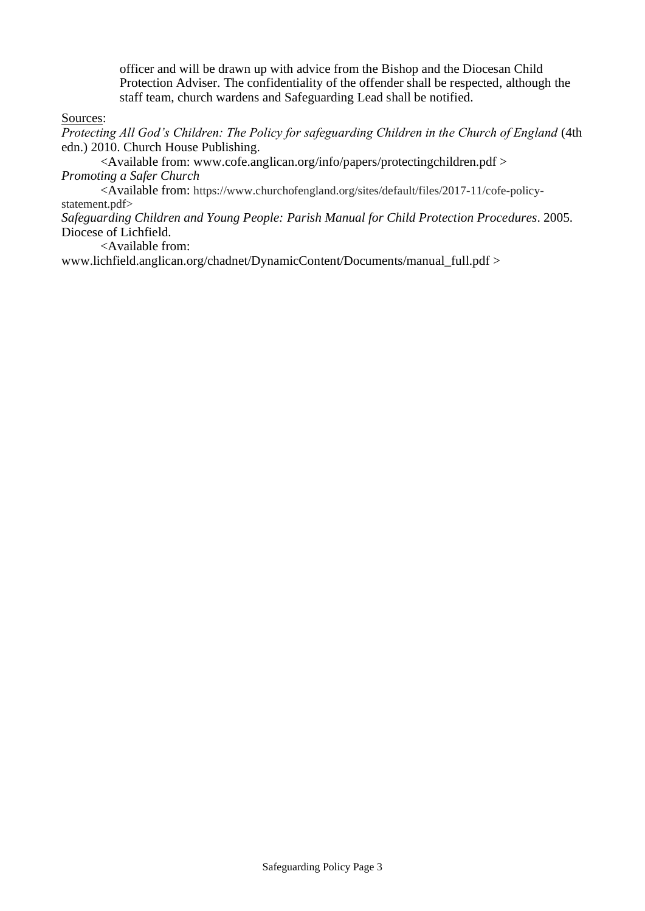officer and will be drawn up with advice from the Bishop and the Diocesan Child Protection Adviser. The confidentiality of the offender shall be respected, although the staff team, church wardens and Safeguarding Lead shall be notified.

Sources:

*Protecting All God's Children: The Policy for safeguarding Children in the Church of England* (4th edn.) 2010. Church House Publishing.

<Available from: www.cofe.anglican.org/info/papers/protectingchildren.pdf > *Promoting a Safer Church*

<Available from: https://www.churchofengland.org/sites/default/files/2017-11/cofe-policystatement.pdf>

*Safeguarding Children and Young People: Parish Manual for Child Protection Procedures*. 2005. Diocese of Lichfield.

<Available from:

www.lichfield.anglican.org/chadnet/DynamicContent/Documents/manual\_full.pdf >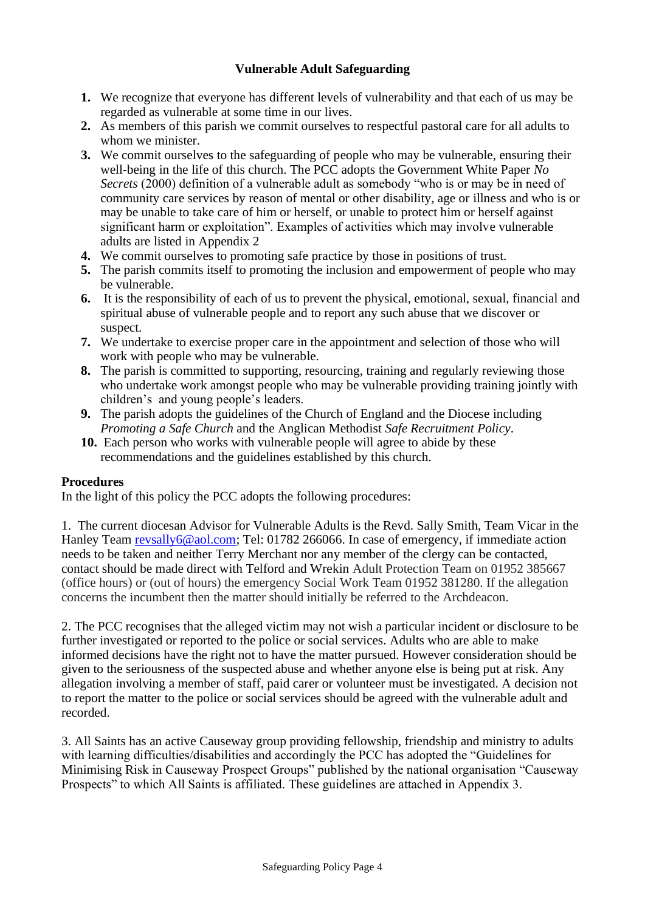# **Vulnerable Adult Safeguarding**

- **1.** We recognize that everyone has different levels of vulnerability and that each of us may be regarded as vulnerable at some time in our lives.
- **2.** As members of this parish we commit ourselves to respectful pastoral care for all adults to whom we minister.
- **3.** We commit ourselves to the safeguarding of people who may be vulnerable, ensuring their well-being in the life of this church. The PCC adopts the Government White Paper *No Secrets* (2000) definition of a vulnerable adult as somebody "who is or may be in need of community care services by reason of mental or other disability, age or illness and who is or may be unable to take care of him or herself, or unable to protect him or herself against significant harm or exploitation". Examples of activities which may involve vulnerable adults are listed in Appendix 2
- **4.** We commit ourselves to promoting safe practice by those in positions of trust.
- **5.** The parish commits itself to promoting the inclusion and empowerment of people who may be vulnerable.
- **6.** It is the responsibility of each of us to prevent the physical, emotional, sexual, financial and spiritual abuse of vulnerable people and to report any such abuse that we discover or suspect.
- **7.** We undertake to exercise proper care in the appointment and selection of those who will work with people who may be vulnerable.
- **8.** The parish is committed to supporting, resourcing, training and regularly reviewing those who undertake work amongst people who may be vulnerable providing training jointly with children's and young people's leaders.
- **9.** The parish adopts the guidelines of the Church of England and the Diocese including *Promoting a Safe Church* and the Anglican Methodist *Safe Recruitment Policy*.
- **10.** Each person who works with vulnerable people will agree to abide by these recommendations and the guidelines established by this church.

#### **Procedures**

In the light of this policy the PCC adopts the following procedures:

1. The current diocesan Advisor for Vulnerable Adults is the Revd. Sally Smith, Team Vicar in the Hanley Team [revsally6@aol.com;](mailto:revsally6@aol.com) Tel: 01782 266066. In case of emergency, if immediate action needs to be taken and neither Terry Merchant nor any member of the clergy can be contacted, contact should be made direct with Telford and Wrekin Adult Protection Team on 01952 385667 (office hours) or (out of hours) the emergency Social Work Team 01952 381280. If the allegation concerns the incumbent then the matter should initially be referred to the Archdeacon.

2. The PCC recognises that the alleged victim may not wish a particular incident or disclosure to be further investigated or reported to the police or social services. Adults who are able to make informed decisions have the right not to have the matter pursued. However consideration should be given to the seriousness of the suspected abuse and whether anyone else is being put at risk. Any allegation involving a member of staff, paid carer or volunteer must be investigated. A decision not to report the matter to the police or social services should be agreed with the vulnerable adult and recorded.

3. All Saints has an active Causeway group providing fellowship, friendship and ministry to adults with learning difficulties/disabilities and accordingly the PCC has adopted the "Guidelines for Minimising Risk in Causeway Prospect Groups" published by the national organisation "Causeway Prospects" to which All Saints is affiliated. These guidelines are attached in Appendix 3.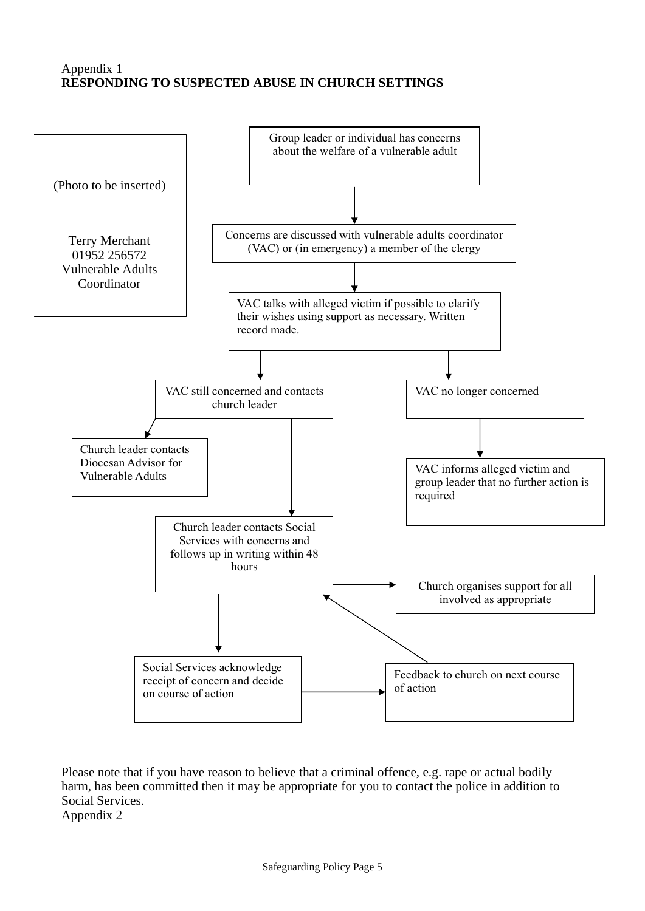# Appendix 1 **RESPONDING TO SUSPECTED ABUSE IN CHURCH SETTINGS**



Please note that if you have reason to believe that a criminal offence, e.g. rape or actual bodily harm, has been committed then it may be appropriate for you to contact the police in addition to Social Services. Appendix 2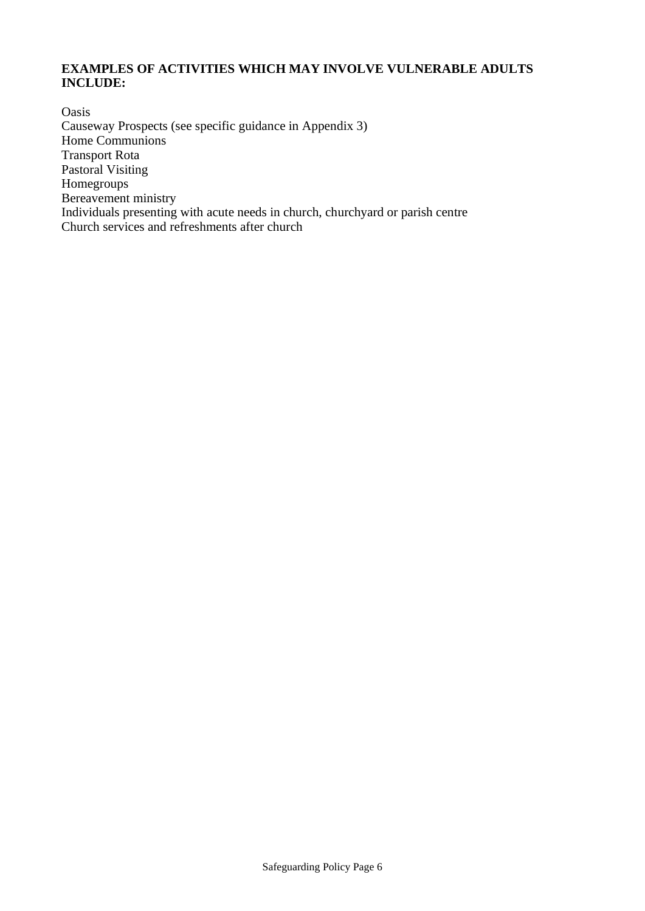# **EXAMPLES OF ACTIVITIES WHICH MAY INVOLVE VULNERABLE ADULTS INCLUDE:**

Oasis Causeway Prospects (see specific guidance in Appendix 3) Home Communions Transport Rota Pastoral Visiting Homegroups Bereavement ministry Individuals presenting with acute needs in church, churchyard or parish centre Church services and refreshments after church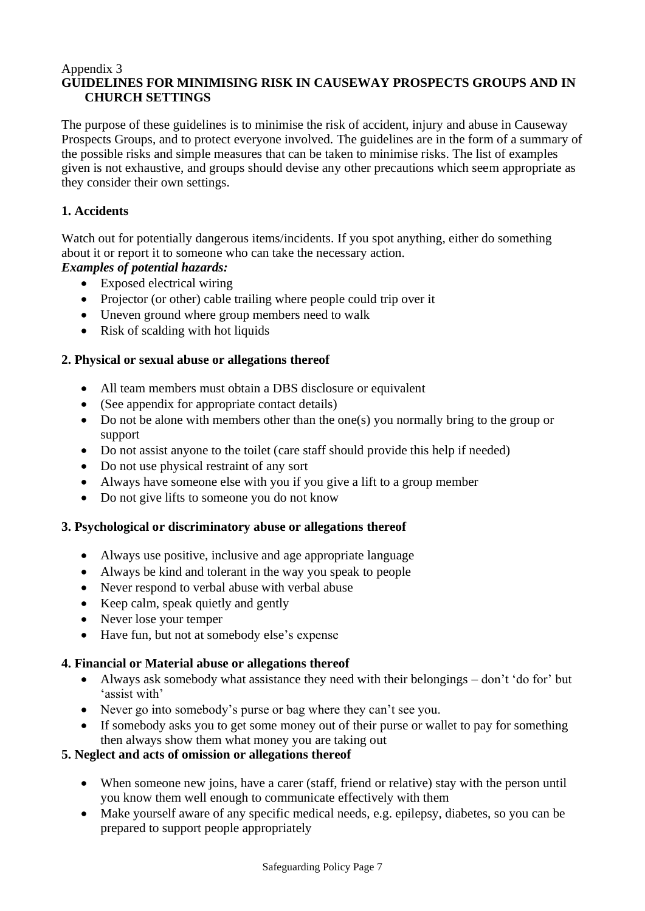#### Appendix 3 **GUIDELINES FOR MINIMISING RISK IN CAUSEWAY PROSPECTS GROUPS AND IN CHURCH SETTINGS**

The purpose of these guidelines is to minimise the risk of accident, injury and abuse in Causeway Prospects Groups, and to protect everyone involved. The guidelines are in the form of a summary of the possible risks and simple measures that can be taken to minimise risks. The list of examples given is not exhaustive, and groups should devise any other precautions which seem appropriate as they consider their own settings.

# **1. Accidents**

Watch out for potentially dangerous items/incidents. If you spot anything, either do something about it or report it to someone who can take the necessary action.

*Examples of potential hazards:*

- Exposed electrical wiring
- Projector (or other) cable trailing where people could trip over it
- Uneven ground where group members need to walk
- Risk of scalding with hot liquids

### **2. Physical or sexual abuse or allegations thereof**

- All team members must obtain a DBS disclosure or equivalent
- (See appendix for appropriate contact details)
- Do not be alone with members other than the one(s) you normally bring to the group or support
- Do not assist anyone to the toilet (care staff should provide this help if needed)
- Do not use physical restraint of any sort
- Always have someone else with you if you give a lift to a group member
- Do not give lifts to some one you do not know

#### **3. Psychological or discriminatory abuse or allegations thereof**

- Always use positive, inclusive and age appropriate language
- Always be kind and tolerant in the way you speak to people
- Never respond to verbal abuse with verbal abuse
- Keep calm, speak quietly and gently
- Never lose your temper
- Have fun, but not at somebody else's expense

#### **4. Financial or Material abuse or allegations thereof**

- Always ask somebody what assistance they need with their belongings don't 'do for' but 'assist with'
- Never go into somebody's purse or bag where they can't see you.
- If somebody asks you to get some money out of their purse or wallet to pay for something then always show them what money you are taking out

#### **5. Neglect and acts of omission or allegations thereof**

- When someone new joins, have a carer (staff, friend or relative) stay with the person until you know them well enough to communicate effectively with them
- Make yourself aware of any specific medical needs, e.g. epilepsy, diabetes, so you can be prepared to support people appropriately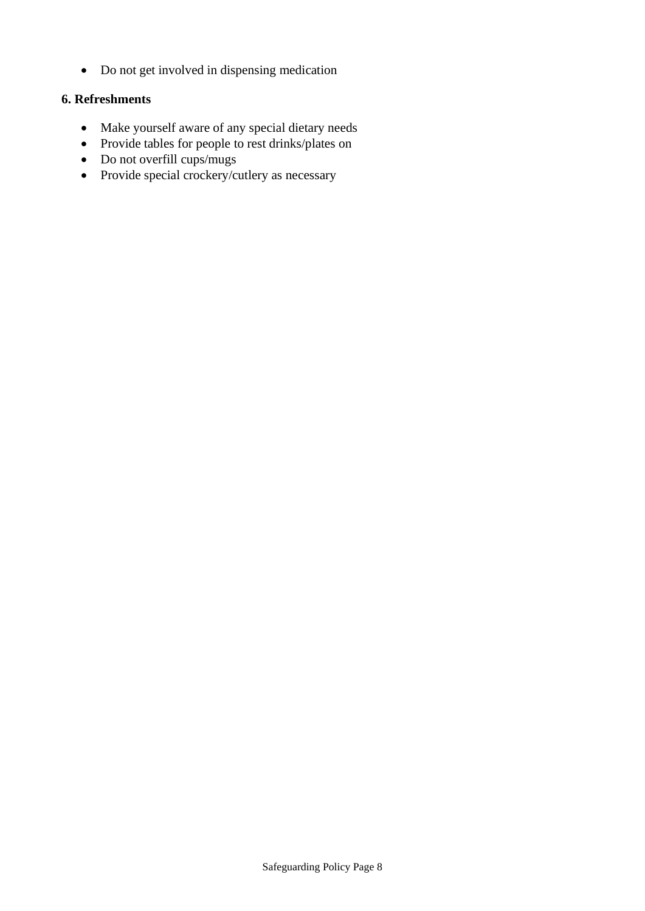• Do not get involved in dispensing medication

# **6. Refreshments**

- Make yourself aware of any special dietary needs
- Provide tables for people to rest drinks/plates on
- Do not overfill cups/mugs
- Provide special crockery/cutlery as necessary